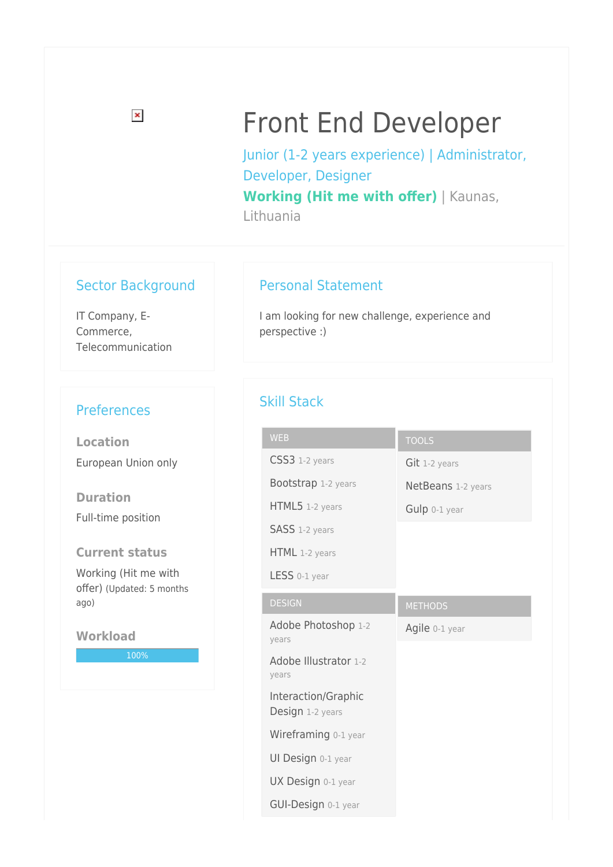# Front End Developer

Junior (1-2 years experience) | Administrator, Developer, Designer **Working (Hit me with offer)** | Kaunas, Lithuania

### Sector Background

IT Company, E-Commerce, Telecommunication

## **Preferences**

**Location** European Union only

**Duration** Full-time position

**Current status**

Working (Hit me with offer) (Updated: 5 months ago)

**Workload**

100%

### Personal Statement

I am looking for new challenge, experience and perspective :)

# Skill Stack

| <b>WEB</b>                              | <b>TOOLS</b>       |
|-----------------------------------------|--------------------|
| CSS3 1-2 years                          | Git 1-2 years      |
| Bootstrap 1-2 years                     | NetBeans 1-2 years |
| HTML5 1-2 years                         | Gulp 0-1 year      |
| SASS 1-2 years                          |                    |
| HTML 1-2 years                          |                    |
| LESS 0-1 year                           |                    |
| <b>DESIGN</b>                           | <b>METHODS</b>     |
| Adobe Photoshop 1-2<br>years            | Agile 0-1 year     |
| Adobe Illustrator 1-2<br>years          |                    |
| Interaction/Graphic<br>Design 1-2 years |                    |
| Wireframing 0-1 year                    |                    |
| UI Design 0-1 year                      |                    |
| UX Design 0-1 year                      |                    |
| GUI-Design 0-1 year                     |                    |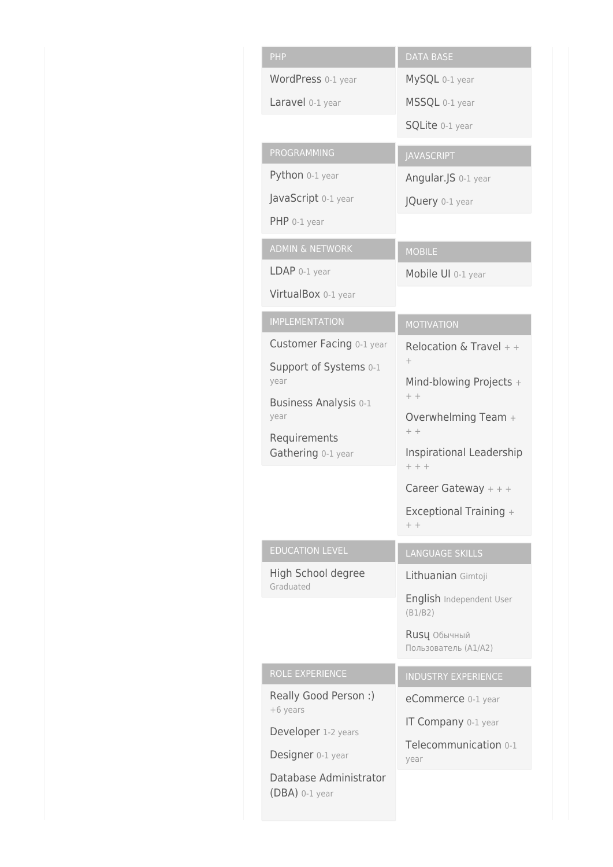| PHP                                        | <b>DATA BASE</b>                    |
|--------------------------------------------|-------------------------------------|
| WordPress 0-1 year                         | MySQL 0-1 year                      |
| Laravel 0-1 year                           | MSSQL 0-1 year                      |
|                                            | SQLite 0-1 year                     |
| <b>PROGRAMMING</b>                         | <b>JAVASCRIPT</b>                   |
| Python 0-1 year                            | Angular.JS 0-1 year                 |
| JavaScript 0-1 year                        | JQuery 0-1 year                     |
| PHP 0-1 year                               |                                     |
| <b>ADMIN &amp; NETWORK</b>                 | <b>MOBILE</b>                       |
| LDAP 0-1 year                              | Mobile UI 0-1 year                  |
| VirtualBox 0-1 year                        |                                     |
| <b>IMPLEMENTATION</b>                      | <b>MOTIVATION</b>                   |
| Customer Facing 0-1 year                   | Relocation & Travel $+$ +           |
| Support of Systems 0-1                     | $^{+}$                              |
| year<br><b>Business Analysis 0-1</b>       | Mind-blowing Projects $+$<br>$+ +$  |
| year                                       | Overwhelming Team +                 |
| Requirements                               | $+ +$                               |
| Gathering 0-1 year                         | Inspirational Leadership<br>$++ +$  |
|                                            | Career Gateway $++$                 |
|                                            | Exceptional Training +<br>$+ +$     |
| <b>EDUCATION LEVEL</b>                     |                                     |
| High School degree                         | <b>LANGUAGE SKILLS</b>              |
| Graduated                                  | Lithuanian Gimtoji                  |
|                                            | English Independent User<br>(B1/B2) |
|                                            | Rusy Обычный                        |
|                                            | Пользователь (А1/А2)                |
| ROLE EXPERIENCE                            | <b>INDUSTRY EXPERIENCE</b>          |
| Really Good Person :)<br>+6 years          | eCommerce 0-1 year                  |
| Developer 1-2 years                        | <b>IT Company</b> 0-1 year          |
| Designer 0-1 year                          | Telecommunication 0-1<br>year       |
| Database Administrator<br>$(DBA)$ 0-1 year |                                     |